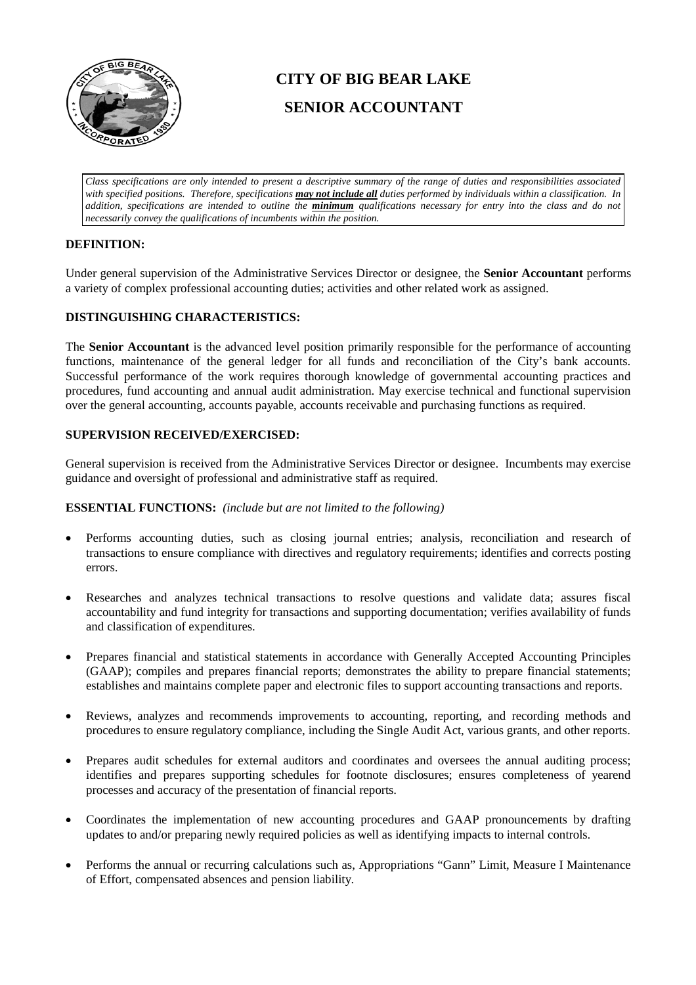

# **CITY OF BIG BEAR LAKE SENIOR ACCOUNTANT**

*Class specifications are only intended to present a descriptive summary of the range of duties and responsibilities associated with specified positions. Therefore, specifications may not include all duties performed by individuals within a classification. In addition, specifications are intended to outline the minimum qualifications necessary for entry into the class and do not necessarily convey the qualifications of incumbents within the position.*

# **DEFINITION:**

Under general supervision of the Administrative Services Director or designee, the **Senior Accountant** performs a variety of complex professional accounting duties; activities and other related work as assigned.

## **DISTINGUISHING CHARACTERISTICS:**

The **Senior Accountant** is the advanced level position primarily responsible for the performance of accounting functions, maintenance of the general ledger for all funds and reconciliation of the City's bank accounts. Successful performance of the work requires thorough knowledge of governmental accounting practices and procedures, fund accounting and annual audit administration. May exercise technical and functional supervision over the general accounting, accounts payable, accounts receivable and purchasing functions as required.

# **SUPERVISION RECEIVED/EXERCISED:**

General supervision is received from the Administrative Services Director or designee. Incumbents may exercise guidance and oversight of professional and administrative staff as required.

## **ESSENTIAL FUNCTIONS:** *(include but are not limited to the following)*

- Performs accounting duties, such as closing journal entries; analysis, reconciliation and research of transactions to ensure compliance with directives and regulatory requirements; identifies and corrects posting errors.
- Researches and analyzes technical transactions to resolve questions and validate data; assures fiscal accountability and fund integrity for transactions and supporting documentation; verifies availability of funds and classification of expenditures.
- Prepares financial and statistical statements in accordance with Generally Accepted Accounting Principles (GAAP); compiles and prepares financial reports; demonstrates the ability to prepare financial statements; establishes and maintains complete paper and electronic files to support accounting transactions and reports.
- Reviews, analyzes and recommends improvements to accounting, reporting, and recording methods and procedures to ensure regulatory compliance, including the Single Audit Act, various grants, and other reports.
- Prepares audit schedules for external auditors and coordinates and oversees the annual auditing process; identifies and prepares supporting schedules for footnote disclosures; ensures completeness of yearend processes and accuracy of the presentation of financial reports.
- Coordinates the implementation of new accounting procedures and GAAP pronouncements by drafting updates to and/or preparing newly required policies as well as identifying impacts to internal controls.
- Performs the annual or recurring calculations such as, Appropriations "Gann" Limit, Measure I Maintenance of Effort, compensated absences and pension liability.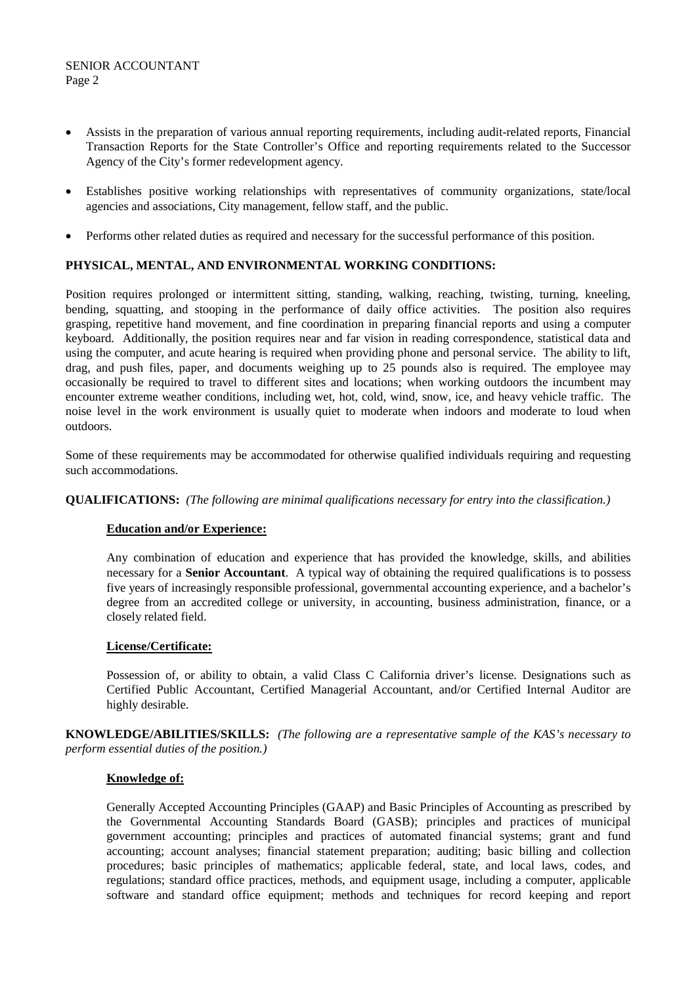- Assists in the preparation of various annual reporting requirements, including audit-related reports, Financial Transaction Reports for the State Controller's Office and reporting requirements related to the Successor Agency of the City's former redevelopment agency.
- Establishes positive working relationships with representatives of community organizations, state/local agencies and associations, City management, fellow staff, and the public.
- Performs other related duties as required and necessary for the successful performance of this position.

## **PHYSICAL, MENTAL, AND ENVIRONMENTAL WORKING CONDITIONS:**

Position requires prolonged or intermittent sitting, standing, walking, reaching, twisting, turning, kneeling, bending, squatting, and stooping in the performance of daily office activities. The position also requires grasping, repetitive hand movement, and fine coordination in preparing financial reports and using a computer keyboard. Additionally, the position requires near and far vision in reading correspondence, statistical data and using the computer, and acute hearing is required when providing phone and personal service. The ability to lift, drag, and push files, paper, and documents weighing up to 25 pounds also is required. The employee may occasionally be required to travel to different sites and locations; when working outdoors the incumbent may encounter extreme weather conditions, including wet, hot, cold, wind, snow, ice, and heavy vehicle traffic. The noise level in the work environment is usually quiet to moderate when indoors and moderate to loud when outdoors.

Some of these requirements may be accommodated for otherwise qualified individuals requiring and requesting such accommodations.

**QUALIFICATIONS:** *(The following are minimal qualifications necessary for entry into the classification.)*

## **Education and/or Experience:**

Any combination of education and experience that has provided the knowledge, skills, and abilities necessary for a **Senior Accountant**. A typical way of obtaining the required qualifications is to possess five years of increasingly responsible professional, governmental accounting experience, and a bachelor's degree from an accredited college or university, in accounting, business administration, finance, or a closely related field.

#### **License/Certificate:**

Possession of, or ability to obtain, a valid Class C California driver's license. Designations such as Certified Public Accountant, Certified Managerial Accountant, and/or Certified Internal Auditor are highly desirable.

**KNOWLEDGE/ABILITIES/SKILLS:** *(The following are a representative sample of the KAS's necessary to perform essential duties of the position.)*

## **Knowledge of:**

Generally Accepted Accounting Principles (GAAP) and Basic Principles of Accounting as prescribed by the Governmental Accounting Standards Board (GASB); principles and practices of municipal government accounting; principles and practices of automated financial systems; grant and fund accounting; account analyses; financial statement preparation; auditing; basic billing and collection procedures; basic principles of mathematics; applicable federal, state, and local laws, codes, and regulations; standard office practices, methods, and equipment usage, including a computer, applicable software and standard office equipment; methods and techniques for record keeping and report